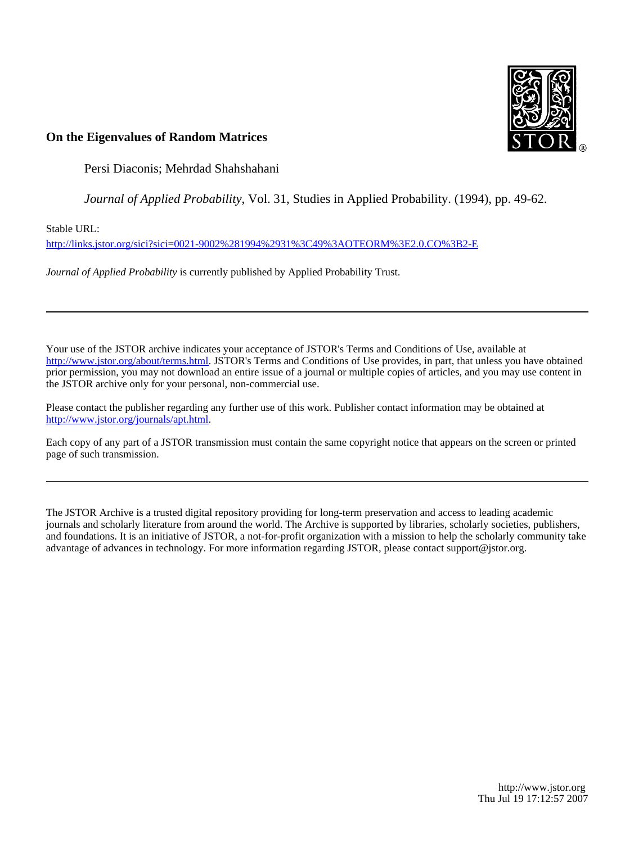

# **On the Eigenvalues of Random Matrices**

Persi Diaconis; Mehrdad Shahshahani

*Journal of Applied Probability*, Vol. 31, Studies in Applied Probability. (1994), pp. 49-62.

Stable URL:

<http://links.jstor.org/sici?sici=0021-9002%281994%2931%3C49%3AOTEORM%3E2.0.CO%3B2-E>

*Journal of Applied Probability* is currently published by Applied Probability Trust.

Your use of the JSTOR archive indicates your acceptance of JSTOR's Terms and Conditions of Use, available at [http://www.jstor.org/about/terms.html.](http://www.jstor.org/about/terms.html) JSTOR's Terms and Conditions of Use provides, in part, that unless you have obtained prior permission, you may not download an entire issue of a journal or multiple copies of articles, and you may use content in the JSTOR archive only for your personal, non-commercial use.

Please contact the publisher regarding any further use of this work. Publisher contact information may be obtained at [http://www.jstor.org/journals/apt.html.](http://www.jstor.org/journals/apt.html)

Each copy of any part of a JSTOR transmission must contain the same copyright notice that appears on the screen or printed page of such transmission.

The JSTOR Archive is a trusted digital repository providing for long-term preservation and access to leading academic journals and scholarly literature from around the world. The Archive is supported by libraries, scholarly societies, publishers, and foundations. It is an initiative of JSTOR, a not-for-profit organization with a mission to help the scholarly community take advantage of advances in technology. For more information regarding JSTOR, please contact support@jstor.org.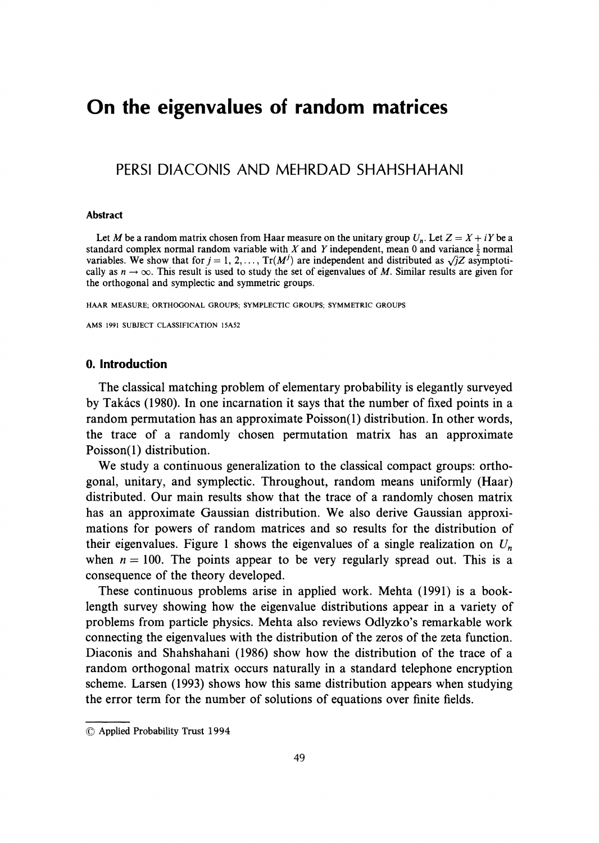# **On the eigenvalues of random matrices**

# PERSl DlACONlS AND MEHRDAD SHAHSHAHANI

#### **Abstract**

Let M be a random matrix chosen from Haar measure on the unitary group  $U_n$ . Let  $Z = X + iY$  be a standard complex normal random variable with X and Y independent, mean 0 and variance  $\frac{1}{2}$  normal variables. We show that for  $j = 1, 2, ..., Tr(M^{j})$  are independent and distributed as  $\sqrt{j}Z$  asymptotically as  $n \to \infty$ . This result is used to study the set of eigenvalues of M. Similar results are given for the orthogonal and symplectic and symmetric groups.

HAAR MEASURE, ORTHOGONAL GROUPS; SYMPLECTIC GROUPS, SYMMETRIC GROUPS

AMS 1991 SUBJECT CLASSIFICATION 15A52

#### **0. Introduction**

The classical matching problem of elementary probability is elegantly surveyed by Takacs (1980). In one incarnation it says that the number of fixed points in a random permutation has an approximate Poisson(1) distribution. In other words, the trace of a randomly chosen permutation matrix has an approximate Poisson(1) distribution.

We study a continuous generalization to the classical compact groups: orthogonal, unitary, and symplectic. Throughout, random means uniformly (Haar) distributed. Our main results show that the trace of a randomly chosen matrix has an approximate Gaussian distribution. We also derive Gaussian approximations for powers of random matrices and so results for the distribution of their eigenvalues. Figure 1 shows the eigenvalues of a single realization on  $U_n$ when  $n = 100$ . The points appear to be very regularly spread out. This is a consequence of the theory developed.

These continuous problems arise in applied work. Mehta (1991) is a booklength survey showing how the eigenvalue distributions appear in a variety of problems from particle physics. Mehta also reviews Odlyzko's remarkable work connecting the eigenvalues with the distribution of the zeros of the zeta function. Diaconis and Shahshahani (1986) show how the distribution of the trace of a random orthogonal matrix occurs naturally in a standard telephone encryption scheme. Larsen (1993) shows how this same distribution appears when studying the error term for the number of solutions of equations over finite fields.

<sup>0</sup>Applied Probability Trust 1994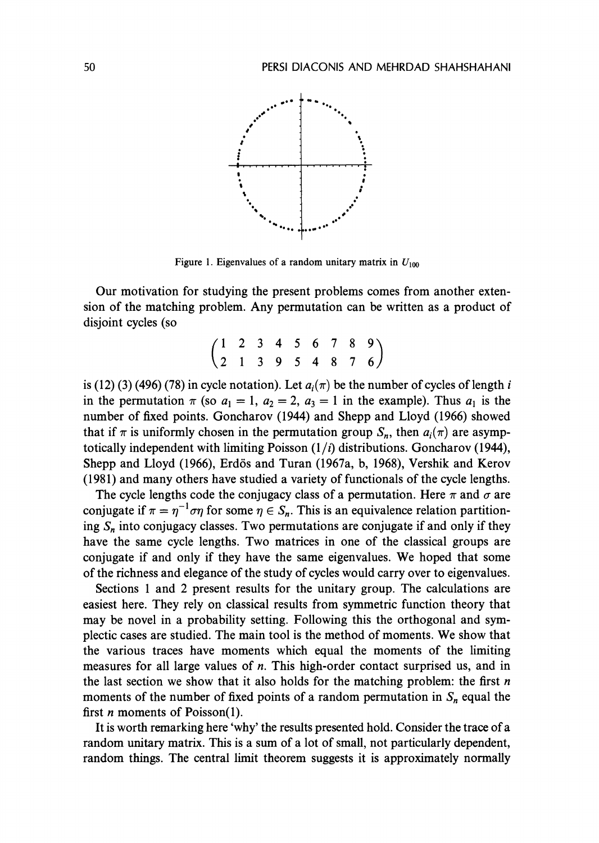

Figure 1. Eigenvalues of a random unitary matrix in  $U_{100}$ 

Our motivation for studying the present problems comes from another extension of the matching problem. Any permutation can be written as a product of disjoint cycles (so

$$
\begin{pmatrix}\n1 & 2 & 3 & 4 & 5 & 6 & 7 & 8 & 9 \\
2 & 1 & 3 & 9 & 5 & 4 & 8 & 7 & 6\n\end{pmatrix}
$$

is (12) (3) (496) (78) in cycle notation). Let  $a_i(\pi)$  be the number of cycles of length i in the permutation  $\pi$  (so  $a_1 = 1$ ,  $a_2 = 2$ ,  $a_3 = 1$  in the example). Thus  $a_1$  is the number of fixed points. Goncharov (1944) and Shepp and Lloyd (1966) showed that if  $\pi$  is uniformly chosen in the permutation group *S<sub>n</sub>*, then  $a_i(\pi)$  are asymptotically independent with limiting Poisson  $(1/i)$  distributions. Goncharov (1944), Shepp and Lloyd (1966), Erdös and Turan (1967a, b, 1968), Vershik and Kerov (1981) and many others have studied a variety of functionals of the cycle lengths.

The cycle lengths code the conjugacy class of a permutation. Here  $\pi$  and  $\sigma$  are conjugate if  $\pi = \eta^{-1}\sigma\eta$  for some  $\eta \in S_n$ . This is an equivalence relation partitioning *S,* into conjugacy classes. Two permutations are conjugate if and only if they have the same cycle lengths. Two matrices in one of the classical groups are conjugate if and only if they have the same eigenvalues. We hoped that some of the richness and elegance of the study of cycles would carry over to eigenvalues.

Sections 1 and 2 present results for the unitary group. The calculations are easiest here. They rely on classical results from symmetric function theory that may be novel in a probability setting. Following this the orthogonal and symplectic cases are studied. The main tool is the method of moments. We show that the various traces have moments which equal the moments of the limiting measures for all large values of  $n$ . This high-order contact surprised us, and in the last section we show that it also holds for the matching problem: the first **n**  moments of the number of fixed points of a random permutation in  $S_n$  equal the first **n** moments of Poisson(1).

It is worth remarking here 'why' the results presented hold. Consider the trace of a random unitary matrix. This is a sum of a lot of small, not particularly dependent, random things. The central limit theorem suggests it is approximately normally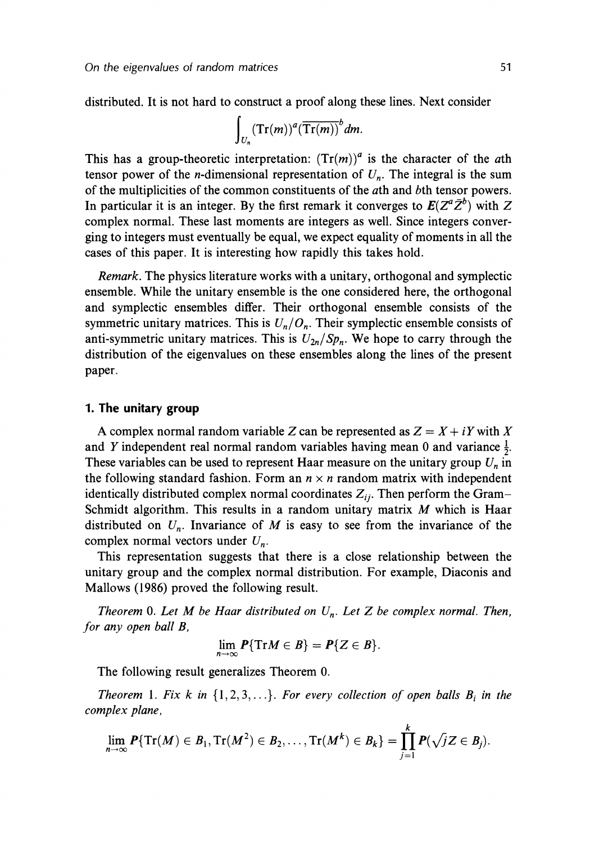distributed. It is not hard to construct a proof along these lines. Next consider

$$
\int_{U_n} (\mathrm{Tr}(m))^a (\overline{\mathrm{Tr}(m)})^b dm.
$$

This has a group-theoretic interpretation:  $(Tr(m))^a$  is the character of the *a*th tensor power of the *n*-dimensional representation of  $U_n$ . The integral is the sum of the multiplicities of the common constituents of the ath and bth tensor powers. In particular it is an integer. By the first remark it converges to  $E(Z^a\bar{Z}^b)$  with Z complex normal. These last moments are integers as well. Since integers converging to integers must eventually be equal, we expect equality of moments in all the cases of this paper. It is interesting how rapidly this takes hold.

Remark. The physics literature works with a unitary, orthogonal and symplectic ensemble. While the unitary ensemble is the one considered here, the orthogonal and symplectic ensembles differ. Their orthogonal ensemble consists of the symmetric unitary matrices. This is  $U_n/O_n$ . Their symplectic ensemble consists of anti-symmetric unitary matrices. This is  $U_{2n}/Sp_n$ . We hope to carry through the distribution of the eigenvalues on these ensembles along the lines of the present paper.

#### **1. The unitary group**

A complex normal random variable Z can be represented as  $Z = X + iY$  with X and Y independent real normal random variables having mean 0 and variance  $\frac{1}{2}$ . These variables can be used to represent Haar measure on the unitary group  $U_n$  in the following standard fashion. Form an  $n \times n$  random matrix with independent identically distributed complex normal coordinates  $Z_{ii}$ . Then perform the Gram-Schmidt algorithm. This results in a random unitary matrix  $M$  which is Haar distributed on  $U_n$ . Invariance of M is easy to see from the invariance of the complex normal vectors under  $U_n$ .

This representation suggests that there is a close relationship between the unitary group and the complex normal distribution. For example, Diaconis and Mallows (1986) proved the following result.

Theorem 0. Let M be Haar distributed on  $U_n$ . Let Z be complex normal. Then, for any open ball B,

$$
\lim_{n\to\infty}P\{\mathrm{Tr}M\in B\}=P\{Z\in B\}.
$$

The following result generalizes Theorem 0.

Theorem 1. Fix k in  $\{1,2,3,...\}$ . For every collection of open balls  $B_i$  in the complex plane,

$$
\lim_{n\to\infty}P\{\mathrm{Tr}(M)\in B_1,\mathrm{Tr}(M^2)\in B_2,\ldots,\mathrm{Tr}(M^k)\in B_k\}=\prod_{j=1}^k P(\sqrt{j}Z\in B_j).
$$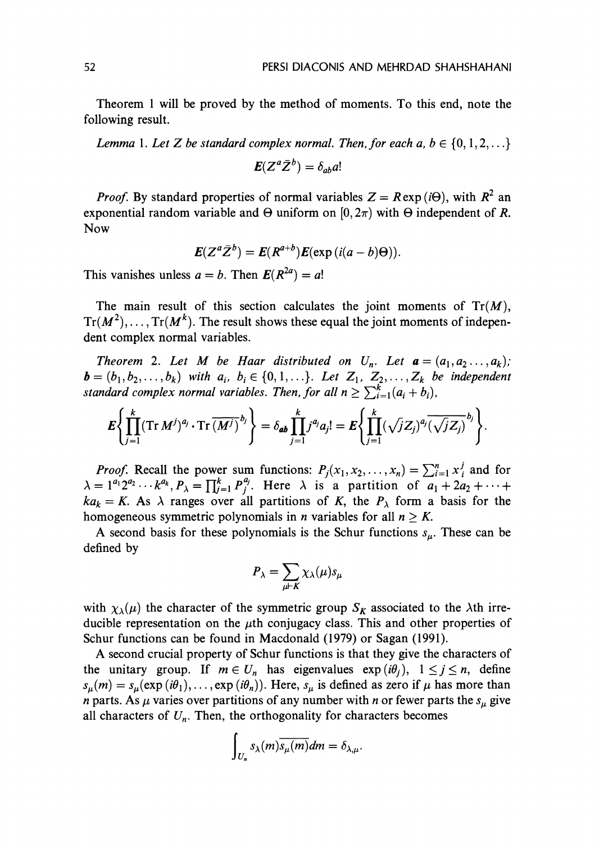Theorem 1 will be proved by the method of moments. To this end, note the following result.

Lemma 1. Let *Z* be standard complex normal. Then, for each  $a, b \in \{0, 1, 2, \ldots\}$ 

$$
\boldsymbol{E}(Z^a\bar{Z}^b)=\delta_{ab}a!
$$

*Proof.* By standard properties of normal variables  $Z = R \exp(i\Theta)$ , with  $R^2$  an exponential random variable and  $\Theta$  uniform on  $[0,2\pi)$  with  $\Theta$  independent of R. Now

$$
\boldsymbol{E}(Z^a\bar{Z}^b)=\boldsymbol{E}(R^{a+b})\boldsymbol{E}(\exp{(i(a-b)\Theta)}).
$$

This vanishes unless  $a = b$ . Then  $E(R^{2a}) = a!$ 

The main result of this section calculates the joint moments of  $Tr(M)$ ,  $Tr(M^2), \ldots, Tr(M^k)$ . The result shows these equal the joint moments of independent complex normal variables.

Theorem 2. Let M be Haar distributed on  $U_n$ . Let  $\mathbf{a} = (a_1, a_2, \ldots, a_k)$ ;  $\bm{b} = (b_1, b_2, \ldots, b_k)$  with  $a_i, b_i \in \{0, 1, \ldots\}$ . Let  $Z_1, Z_2, \ldots, Z_k$  be independent standard complex normal variables. Then, for all  $n \geq \sum_{i=1}^{k} (a_i + b_i)$ ,

$$
\mathbf{E}\left\{\prod_{j=1}^k (\mathrm{Tr}\,M^j)^{a_j}\cdot \mathrm{Tr}\, \overline{(M^j)}^{b_j}\right\}=\delta_{ab}\prod_{j=1}^k j^{a_j}a_j!=\mathbf{E}\left\{\prod_{j=1}^k (\sqrt{j}Z_j)^{a_j} \overline{(\sqrt{j}Z_j)}^{b_j}\right\}
$$

*Proof.* Recall the power sum functions:  $P_j(x_1, x_2, ..., x_n) = \sum_{i=1}^n x_i^j$  and for  $\lambda = 1^{a_1} 2^{a_2} \cdots k^{a_k}, P_{\lambda} = \prod_{j=1}^k P_j^{a_j}$ . Here  $\lambda$  is a partition of  $a_1 + 2a_2 + \cdots$  $ka_k = K$ . As  $\lambda$  ranges over all partitions of K, the  $P_\lambda$  form a basis for the homogeneous symmetric polynomials in *n* variables for all  $n \geq K$ .

A second basis for these polynomials is the Schur functions  $s_{\mu}$ . These can be defined by

$$
P_{\lambda} = \sum_{\mu \vdash K} \chi_{\lambda}(\mu) s_{\mu}
$$

with  $\chi_{\lambda}(\mu)$  the character of the symmetric group  $S_K$  associated to the  $\lambda$ th irreducible representation on the  $\mu$ th conjugacy class. This and other properties of Schur functions can be found in Macdonald (1979) or Sagan (1991).

**A** second crucial property of Schur functions is that they give the characters of the unitary group. If  $m \in U_n$  has eigenvalues  $exp(i\theta_i)$ ,  $1 \leq j \leq n$ , define  $s_{\mu}(m) = s_{\mu}(\exp(i\theta_1), \dots, \exp(i\theta_n)).$  Here,  $s_{\mu}$  is defined as zero if  $\mu$  has more than *n* parts. As  $\mu$  varies over partitions of any number with *n* or fewer parts the  $s_{\mu}$  give all characters of  $U_n$ . Then, the orthogonality for characters becomes

$$
\int_{U_n} s_{\lambda}(m) \overline{s_{\mu}(m)} dm = \delta_{\lambda,\mu}.
$$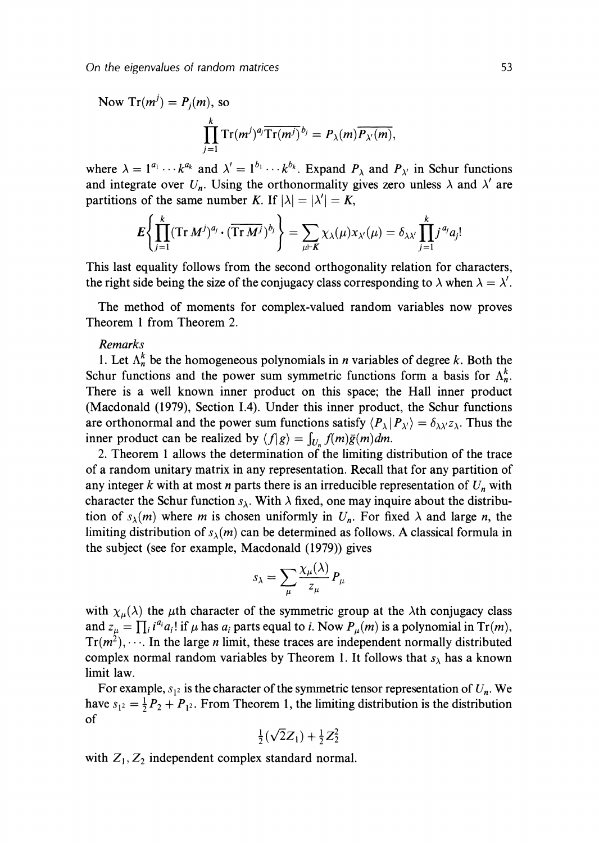Now Tr $(m^j) = P_j(m)$ , so  $\prod^k \text{Tr}(m^j)^{a_j} \overline{\text{Tr}(m^j)}^{b_j} = P_{\lambda}(m) \overline{P_{\lambda'}(m)},$  $j=1$ 

where  $\lambda = 1^{a_1} \cdots k^{a_k}$  and  $\lambda' = 1^{b_1} \cdots k^{b_k}$ . Expand  $P_{\lambda}$  and  $P_{\lambda'}$  in Schur functions and integrate over  $U_n$ . Using the orthonormality gives zero unless  $\lambda$  and  $\lambda'$  are partitions of the same number K. If  $|\lambda| = |\lambda'| = K$ ,

$$
E\left\{\prod_{j=1}^k (\mathrm{Tr}\,M^j)^{a_j}\cdot(\overline{\mathrm{Tr}\,M^j})^{b_j}\right\}=\sum_{\mu\vdash K}\chi_{\lambda}(\mu)x_{\lambda'}(\mu)=\delta_{\lambda\lambda'}\prod_{j=1}^kj^{a_j}a_j
$$

This last equality follows from the second orthogonality relation for characters, the right side being the size of the conjugacy class corresponding to  $\lambda$  when  $\lambda = \lambda'$ .

The method of moments for complex-valued random variables now proves Theorem 1 from Theorem 2.

#### Remarks

1. Let  $\Lambda_n^k$  be the homogeneous polynomials in *n* variables of degree k. Both the Schur functions and the power sum symmetric functions form a basis for  $\Lambda_n^k$ . There is a well known inner product on this space; the Hall inner product (Macdonald (1979), Section 1.4). Under this inner product, the Schur functions are orthonormal and the power sum functions satisfy  $\langle P_{\lambda} | P_{\lambda'} \rangle = \delta_{\lambda \lambda'} z_{\lambda}$ . Thus the inner product can be realized by  $\langle f|g \rangle = \int_{U} f(m)\bar{g}(m)dm$ .

2. Theorem 1 allows the determination of the limiting distribution of the trace of a random unitary matrix in any representation. Recall that for any partition of any integer  $k$  with at most *n* parts there is an irreducible representation of  $U_n$  with character the Schur function  $s_{\lambda}$ . With  $\lambda$  fixed, one may inquire about the distribution of  $s_{\lambda}(m)$  where m is chosen uniformly in  $U_n$ . For fixed  $\lambda$  and large n, the limiting distribution of  $s_{\lambda}(m)$  can be determined as follows. A classical formula in the subject (see for example, Macdonald (1979)) gives

$$
s_{\lambda} = \sum_{\mu} \frac{\chi_{\mu}(\lambda)}{z_{\mu}} P_{\mu}
$$

with  $\chi_{\mu}(\lambda)$  the  $\mu$ th character of the symmetric group at the  $\lambda$ th conjugacy class and  $z_{\mu} = \prod_i i^{a_i} a_i!$  if  $\mu$  has  $a_i$  parts equal to *i*. Now  $P_{\mu}(m)$  is a polynomial in Tr(*m*),  $Tr(m^2), \dots$ . In the large *n* limit, these traces are independent normally distributed complex normal random variables by Theorem 1. It follows that  $s_{\lambda}$  has a known limit law.

For example,  $s_1$  is the character of the symmetric tensor representation of  $U_n$ . We have  $s_{1^2} = \frac{1}{2}P_2 + P_{1^2}$ . From Theorem 1, the limiting distribution is the distribution of  $\frac{1}{2}(\sqrt{2}Z_1)+\frac{1}{2}Z_2^2$ 

$$
\frac{1}{2}(\sqrt{2}Z_1) + \frac{1}{2}Z_2^2
$$

with  $Z_1, Z_2$  independent complex standard normal.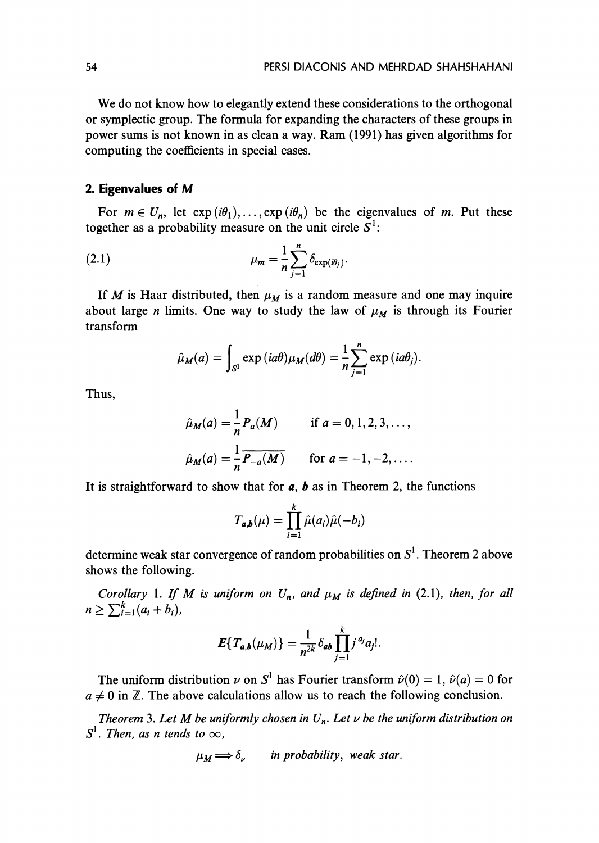We do not know how to elegantly extend these considerations to the orthogonal or symplectic group. The formula for expanding the characters of these groups in power sums is not known in as clean a way. Ram (1991) has given algorithms for computing the coefficients in special cases.

## **2. Eigenvalues of M**

For  $m \in U_n$ , let  $exp(i\theta_1), \ldots, exp(i\theta_n)$  be the eigenvalues of *m*. Put these together as a probability measure on the unit circle  $S^1$ :

(2.1) 
$$
\mu_m = \frac{1}{n} \sum_{j=1}^n \delta_{\exp(i\theta_j)}.
$$

If *M* is Haar distributed, then  $\mu_M$  is a random measure and one may inquire about large *n* limits. One way to study the law of  $\mu_M$  is through its Fourier transform

$$
\hat{\mu}_M(a) = \int_{S^1} \exp(i a \theta) \mu_M(d \theta) = \frac{1}{n} \sum_{j=1}^n \exp(i a \theta_j).
$$

Thus,

$$
\hat{\mu}_M(a) = \frac{1}{n} P_a(M) \quad \text{if } a = 0, 1, 2, 3, \dots,
$$
\n
$$
\hat{\mu}_M(a) = \frac{1}{n} \overline{P_{-a}(M)} \quad \text{for } a = -1, -2, \dots.
$$

It is straightforward to show that for  $a$ ,  $b$  as in Theorem 2, the functions

$$
T_{a,b}(\mu) = \prod_{i=1}^k \hat{\mu}(a_i)\hat{\mu}(-b_i)
$$

determine weak star convergence of random probabilities on  $S<sup>1</sup>$ . Theorem 2 above shows the following.

*Corollary 1. If M is uniform on*  $U_n$ *, and*  $\mu_M$  *is defined in (2.1), then, for all*  $n \geq \sum_{i=1}^{k} (a_i + b_i),$ 

$$
E\{T_{a,b}(\mu_M)\}=\frac{1}{n^{2k}}\delta_{ab}\prod_{j=1}^kj^{a_j}a_j!
$$

The uniform distribution  $\nu$  on  $S^1$  has Fourier transform  $\hat{\nu}(0) = 1$ ,  $\hat{\nu}(a) = 0$  for  $a \neq 0$  in Z. The above calculations allow us to reach the following conclusion.

**Theorem 3. Let M be uniformly chosen in**  $U_n$ **. Let**  $\nu$  **be the uniform distribution on**  $S^1$ *. Then, as n tends to*  $\infty$ *.* 

$$
\mu_M \Longrightarrow \delta_\nu \qquad \text{in probability, weak star.}
$$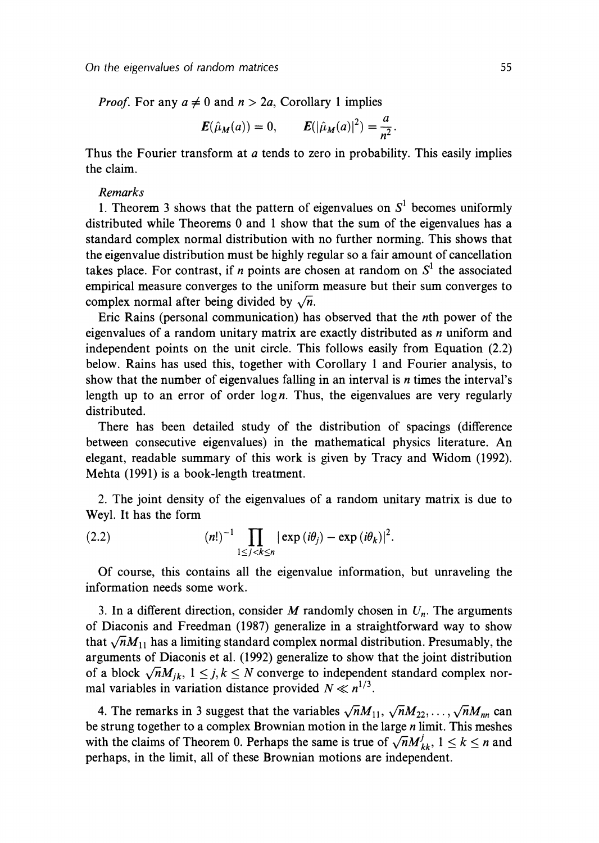*Proof.* For any  $a \neq 0$  and  $n > 2a$ , Corollary 1 implies

$$
E(\hat{\mu}_M(a)) = 0,
$$
  $E(|\hat{\mu}_M(a)|^2) = \frac{a}{n^2}.$ 

Thus the Fourier transform at *a* tends to zero in probability. This easily implies the claim.

#### *Remarks*

1. Theorem 3 shows that the pattern of eigenvalues on  $S<sup>1</sup>$  becomes uniformly distributed while Theorems 0 and 1 show that the sum of the eigenvalues has a standard complex normal distribution with no further norming. This shows that the eigenvalue distribution must be highly regular so a fair amount of cancellation takes place. For contrast, if  $n$  points are chosen at random on  $S<sup>1</sup>$  the associated empirical measure converges to the uniform measure but their sum converges to complex normal after being divided by  $\sqrt{n}$ .

Eric Rains (personal communication) has observed that the nth power of the eigenvalues of a random unitary matrix are exactly distributed as n uniform and independent points on the unit circle. This follows easily from Equation (2.2) below. Rains has used this, together with Corollary 1 and Fourier analysis, to show that the number of eigenvalues falling in an interval is  $n$  times the interval's length up to an error of order  $\log n$ . Thus, the eigenvalues are very regularly distributed.

There has been detailed study of the distribution of spacings (difference between consecutive eigenvalues) in the mathematical physics literature. An elegant, readable summary of this work is given by Tracy and Widom (1992). Mehta (1991) is a book-length treatment.

2. The joint density of the eigenvalues of a random unitary matrix is due to Weyl. It has the form

(2.2) 
$$
(n!)^{-1} \prod_{1 \leq j < k \leq n} |\exp(i\theta_j) - \exp(i\theta_k)|^2.
$$

Of course, this contains all the eigenvalue information, but unraveling the information needs some work.

3. In a different direction, consider  $M$  randomly chosen in  $U_n$ . The arguments of Diaconis and Freedman (1987) generalize in a straightforward way to show that  $\sqrt{n}M_{11}$  has a limiting standard complex normal distribution. Presumably, the arguments of Diaconis et al. (1992) generalize to show that the joint distribution of a block  $\sqrt{n}M_{ik}$ ,  $1 \leq j,k \leq N$  converge to independent standard complex normal variables in variation distance provided  $N \ll n^{1/3}$ .

4. The remarks in 3 suggest that the variables  $\sqrt{n}M_{11}$ ,  $\sqrt{n}M_{22}$ ,...,  $\sqrt{n}M_{nn}$  can be strung together to a complex Brownian motion in the large  $n$  limit. This meshes with the claims of Theorem 0. Perhaps the same is true of  $\sqrt{n}M_{kk}^j$ ,  $1 \leq k \leq n$  and perhaps, in the limit, all of these Brownian motions are independent.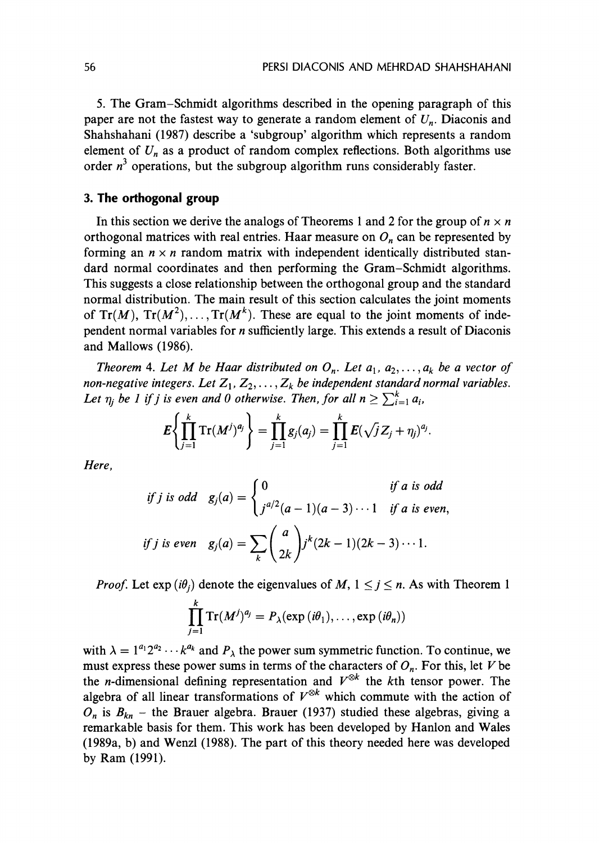5. The Gram-Schmidt algorithms described in the opening paragraph of this paper are not the fastest way to generate a random element of  $U_n$ . Diaconis and Shahshahani (1987) describe a 'subgroup' algorithm which represents a random element of  $U_n$  as a product of random complex reflections. Both algorithms use order  $n<sup>3</sup>$  operations, but the subgroup algorithm runs considerably faster.

# **3. The orthogonal group**

In this section we derive the analogs of Theorems 1 and 2 for the group of  $n \times n$ orthogonal matrices with real entries. Haar measure on  $O_n$  can be represented by forming an  $n \times n$  random matrix with independent identically distributed standard normal coordinates and then performing the Gram-Schmidt algorithms. This suggests a close relationship between the orthogonal group and the standard normal distribution. The main result of this section calculates the joint moments of  $Tr(M)$ ,  $Tr(M^2)$ , ...,  $Tr(M^k)$ . These are equal to the joint moments of independent normal variables for n sufficiently large. This extends a result of Diaconis and Mallows (1986).

Theorem 4. Let M be Haar distributed on  $O_n$ . Let  $a_1, a_2, \ldots, a_k$  be a vector of non-negative integers. Let  $Z_1, Z_2, \ldots, Z_k$  be independent standard normal variables. Let  $\eta_i$  be 1 if j is even and 0 otherwise. Then, for all  $n \geq \sum_{i=1}^{k} a_i$ ,

$$
E\left\{\prod_{j=1}^k {\rm Tr}(M^j)^{a_j}\right\} = \prod_{j=1}^k g_j(a_j) = \prod_{j=1}^k E(\sqrt{j}Z_j + \eta_j)^{a_j}.
$$

Here,

$$
if j is odd \t g_j(a) = \begin{cases} 0 & \text{if a is odd} \\ j^{a/2}(a-1)(a-3)\cdots 1 & \text{if a is even,} \end{cases}
$$
  

$$
if j is even \t g_j(a) = \sum_k {a \choose 2k} j^k (2k-1)(2k-3)\cdots 1.
$$

*Proof.* Let  $exp(i\theta_i)$  denote the eigenvalues of M,  $1 \leq j \leq n$ . As with Theorem 1

$$
\prod_{j=1}^k \mathrm{Tr}(M^j)^{a_j} = P_{\lambda}(\exp(i\theta_1),\ldots,\exp(i\theta_n))
$$

with  $\lambda = 1^{a_1} 2^{a_2} \cdots k^{a_k}$  and  $P_{\lambda}$  the power sum symmetric function. To continue, we must express these power sums in terms of the characters of  $O_n$ . For this, let V be the *n*-dimensional defining representation and  $V^{\otimes k}$  the *k*th tensor power. The algebra of all linear transformations of  $V^{\otimes k}$  which commute with the action of  $O_n$  is  $B_{kn}$  – the Brauer algebra. Brauer (1937) studied these algebras, giving a remarkable basis for them. This work has been developed by Hanlon and Wales (1989a, b) and Wenzl (1988). The part of this theory needed here was developed by Ram (1991).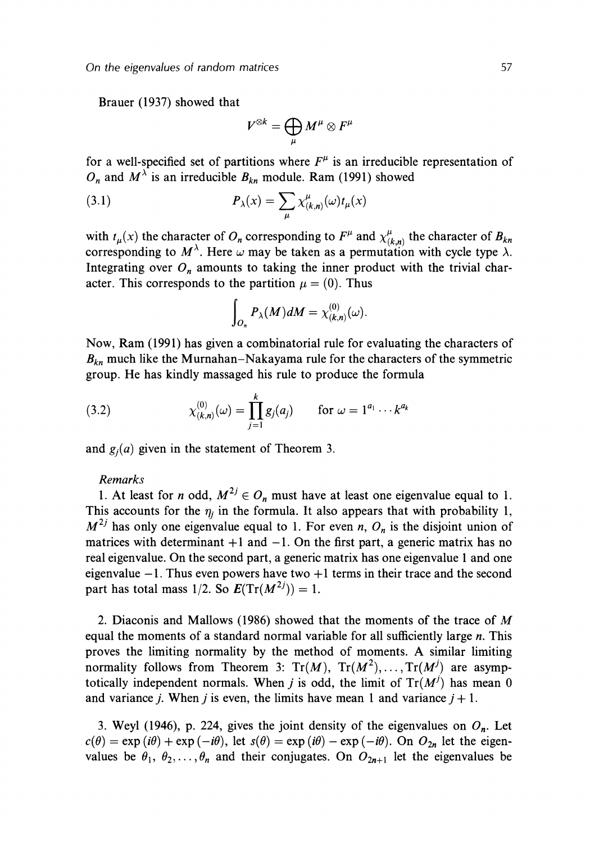Brauer (1937) showed that

$$
V^{\otimes k}=\bigoplus_\mu M^\mu\otimes F^\mu
$$

for a well-specified set of partitions where  $F^{\mu}$  is an irreducible representation of  $O_n$  and  $M^{\lambda}$  is an irreducible  $B_{kn}$  module. Ram (1991) showed

(3.1) 
$$
P_{\lambda}(x) = \sum_{\mu} \chi^{\mu}_{(k,n)}(\omega) t_{\mu}(x)
$$

with  $t_{\mu}(x)$  the character of  $O_n$  corresponding to  $F^{\mu}$  and  $\chi^{\mu}_{(k,n)}$  the character of  $B_{kn}$ corresponding to  $M^{\lambda}$ . Here  $\omega$  may be taken as a permutation with cycle type  $\lambda$ . Integrating over  $O_n$  amounts to taking the inner product with the trivial character. This corresponds to the partition  $\mu = (0)$ . Thus

$$
\int_{O_n} P_{\lambda}(M) dM = \chi^{(0)}_{(k,n)}(\omega).
$$

Now, Ram (1991) has given a combinatorial rule for evaluating the characters of  $B_{kn}$  much like the Murnahan-Nakayama rule for the characters of the symmetric group. He has kindly massaged his rule to produce the formula

(3.2) 
$$
\chi_{(k,n)}^{(0)}(\omega) = \prod_{j=1}^{k} g_j(a_j) \quad \text{for } \omega = 1^{a_1} \cdots k^{a_k}
$$

and  $g_i(a)$  given in the statement of Theorem 3.

#### *Remarks*

1. At least for *n* odd,  $M^{2j} \in O_n$  must have at least one eigenvalue equal to 1. This accounts for the  $\eta_i$  in the formula. It also appears that with probability 1,  $M^{2j}$  has only one eigenvalue equal to 1. For even n,  $O_n$  is the disjoint union of matrices with determinant  $+1$  and  $-1$ . On the first part, a generic matrix has no real eigenvalue. On the second part, a generic matrix has one eigenvalue 1 and one eigenvalue  $-1$ . Thus even powers have two  $+1$  terms in their trace and the second part has total mass  $1/2$ . So  $E(Tr(M^{2j})) = 1$ .

2. Diaconis and Mallows (1986) showed that the moments of the trace of M equal the moments of a standard normal variable for all sufficiently large  $n$ . This proves the limiting normality by the method of moments. **A** similar limiting normality follows from Theorem 3:  $Tr(M)$ ,  $Tr(M^2)$ , ...,  $Tr(M^j)$  are asymptotically independent normals. When j is odd, the limit of  $Tr(M^{j})$  has mean 0 and variance *j*. When *j* is even, the limits have mean 1 and variance  $j + 1$ .

3. Weyl (1946), p. 224, gives the joint density of the eigenvalues on  $O_n$ . Let  $c(\theta) = \exp(i\theta) + \exp(-i\theta)$ , let  $s(\theta) = \exp(i\theta) - \exp(-i\theta)$ . On  $O_{2n}$  let the eigenvalues be  $\theta_1, \theta_2, \ldots, \theta_n$  and their conjugates. On  $O_{2n+1}$  let the eigenvalues be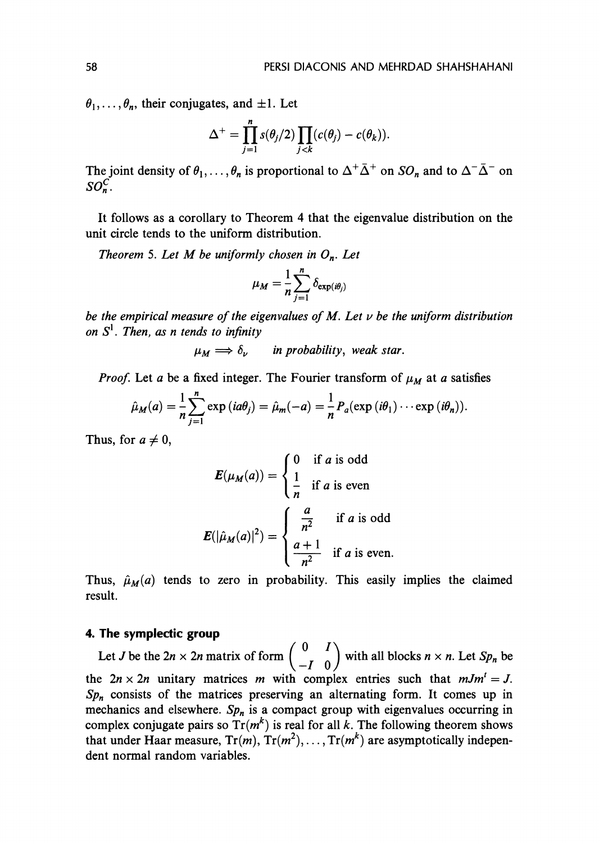$\theta_1, \ldots, \theta_n$ , their conjugates, and  $\pm 1$ . Let

$$
\Delta^+ = \prod_{j=1}^n s(\theta_j/2) \prod_{j < k} (c(\theta_j) - c(\theta_k)).
$$

The joint density of  $\theta_1,\ldots,\theta_n$  is proportional to  $\Delta^+\bar{\Delta}^+$  on  $SO_n$  and to  $\Delta^-\bar{\Delta}^-$  on  $SO_n^C$ .

It follows as a corollary to Theorem 4 that the eigenvalue distribution on the unit circle tends to the uniform distribution.

Theorem 5. Let M be uniformly chosen in  $O_n$ . Let

$$
\mu_M = \frac{1}{n} \sum_{j=1}^n \delta_{\exp(i\theta_j)}
$$

be the empirical measure of the eigenvalues of M. Let **v** be the uniform distribution on  $S^1$ . Then, as n tends to infinity

 $\mu_M \Longrightarrow \delta_{\nu}$  in probability, weak star.

*Proof.* Let a be a fixed integer. The Fourier transform of  $\mu_M$  at a satisfies

$$
\hat{\mu}_M(a) = \frac{1}{n} \sum_{j=1}^n \exp(i a \theta_j) = \hat{\mu}_m(-a) = \frac{1}{n} P_a(\exp(i \theta_1) \cdots \exp(i \theta_n)).
$$

Thus, for  $a \neq 0$ ,

$$
E(\mu_M(a)) = \begin{cases} 0 & \text{if } a \text{ is odd} \\ \frac{1}{n} & \text{if } a \text{ is even} \end{cases}
$$

$$
E(|\hat{\mu}_M(a)|^2) = \begin{cases} \frac{a}{n^2} & \text{if } a \text{ is odd} \\ \frac{a+1}{n^2} & \text{if } a \text{ is even.} \end{cases}
$$

Thus,  $\hat{\mu}_M(a)$  tends to zero in probability. This easily implies the claimed result.

#### **4. The symplectic group**

Let *J* be the  $2n \times 2n$  matrix of form  $\begin{pmatrix} 0 & I \\ -I & 0 \end{pmatrix}$  with all blocks  $n \times n$ . Let  $Sp_n$  be the  $2n \times 2n$  unitary matrices m with complex entries such that  $mJm^t = J$ .  $Sp_n$  consists of the matrices preserving an alternating form. It comes up in mechanics and elsewhere.  $Sp<sub>n</sub>$  is a compact group with eigenvalues occurring in complex conjugate pairs so  $Tr(m^k)$  is real for all k. The following theorem shows that under Haar measure,  $Tr(m)$ ,  $Tr(m^2)$ , ...,  $Tr(m^k)$  are asymptotically independent normal random variables.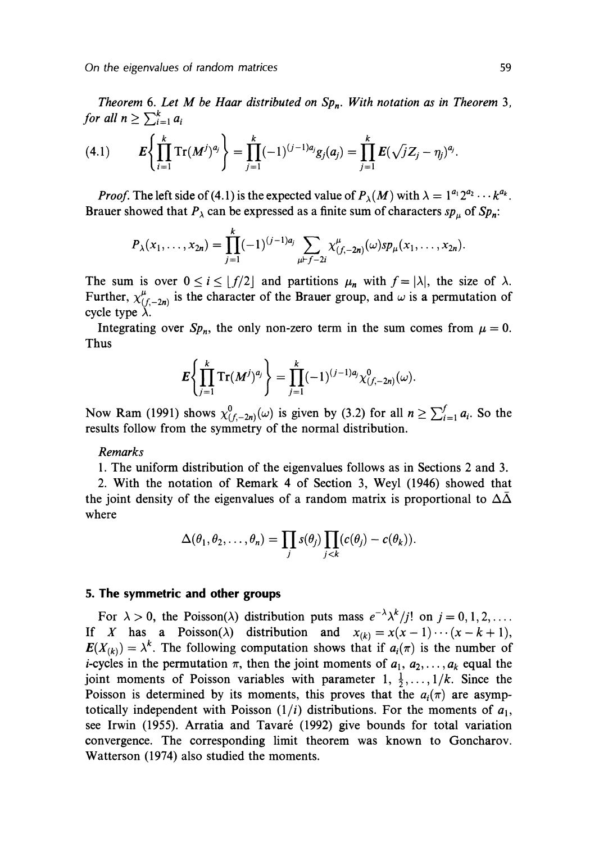Theorem 6. Let M be Haar distributed on  $Sp_n$ . With notation as in Theorem 3, for all  $n \geq \sum_{i=1}^{k} a_i$ 

(4.1) 
$$
E\left\{\prod_{i=1}^k \mathrm{Tr}(M^j)^{a_j}\right\} = \prod_{j=1}^k (-1)^{(j-1)a_j} g_j(a_j) = \prod_{j=1}^k E(\sqrt{j}Z_j - \eta_j)^{a_j}.
$$

*Proof.* The left side of (4.1) is the expected value of  $P_{\lambda}(M)$  with  $\lambda = 1^{a_1} 2^{a_2} \cdots k^{a_k}$ . Brauer showed that  $P_{\lambda}$  can be expressed as a finite sum of characters sp<sub>u</sub> of Sp<sub>n</sub>:

$$
P_{\lambda}(x_1,\ldots,x_{2n})=\prod_{j=1}^{\kappa}(-1)^{(j-1)a_j}\sum_{\mu\vdash f-2i}\chi^{\mu}_{(f,-2n)}(\omega)sp_{\mu}(x_1,\ldots,x_{2n}).
$$

The sum is over  $0 \le i \le \lfloor f/2 \rfloor$  and partitions  $\mu_n$  with  $f = |\lambda|$ , the size of  $\lambda$ . Further,  $\chi^{\mu}_{(f,-2n)}$  is the character of the Brauer group, and  $\omega$  is a permutation of cycle type  $\lambda$ .

Integrating over  $Sp_n$ , the only non-zero term in the sum comes from  $\mu = 0$ . Thus

$$
E\left\{\prod_{j=1}^k \mathrm{Tr}(M^j)^{a_j}\right\} = \prod_{j=1}^k (-1)^{(j-1)a_j} \chi^0_{(f,-2n)}(\omega).
$$

Now Ram (1991) shows  $\chi^0_{(f,-2n)}(\omega)$  is given by (3.2) for all  $n \geq \sum_{i=1}^f a_i$ . So the results follow from the symmetry of the normal distribution.

#### Remarks

1. The uniform distribution of the eigenvalues follows as in Sections 2 and 3.

2. With the notation of Remark 4 of Section 3, Weyl (1946) showed that the joint density of the eigenvalues of a random matrix is proportional to  $\Delta\Delta$ where

$$
\Delta(\theta_1, \theta_2, \ldots, \theta_n) = \prod_j s(\theta_j) \prod_{j < k} (c(\theta_j) - c(\theta_k)).
$$

# **5. The symmetric and other groups**

For  $\lambda > 0$ , the Poisson( $\lambda$ ) distribution puts mass  $e^{-\lambda} \lambda^k / j!$  on  $j = 0, 1, 2, \ldots$ . If X has a Poisson( $\lambda$ ) distribution and  $x_{(k)}=x(x-1)\cdots(x-k+1)$ ,  $E(X_{(k)}) = \lambda^k$ . The following computation shows that if  $a_i(\pi)$  is the number of *i*-cycles in the permutation  $\pi$ , then the joint moments of  $a_1, a_2, \ldots, a_k$  equal the joint moments of Poisson variables with parameter  $1, \frac{1}{2}, \ldots, 1/k$ . Since the Poisson is determined by its moments, this proves that the  $a_i(\pi)$  are asymptotically independent with Poisson  $(1/i)$  distributions. For the moments of  $a_1$ , see Irwin (1955). Arratia and Tavaré (1992) give bounds for total variation convergence. The corresponding limit theorem was known to Goncharov. Watterson (1974) also studied the moments.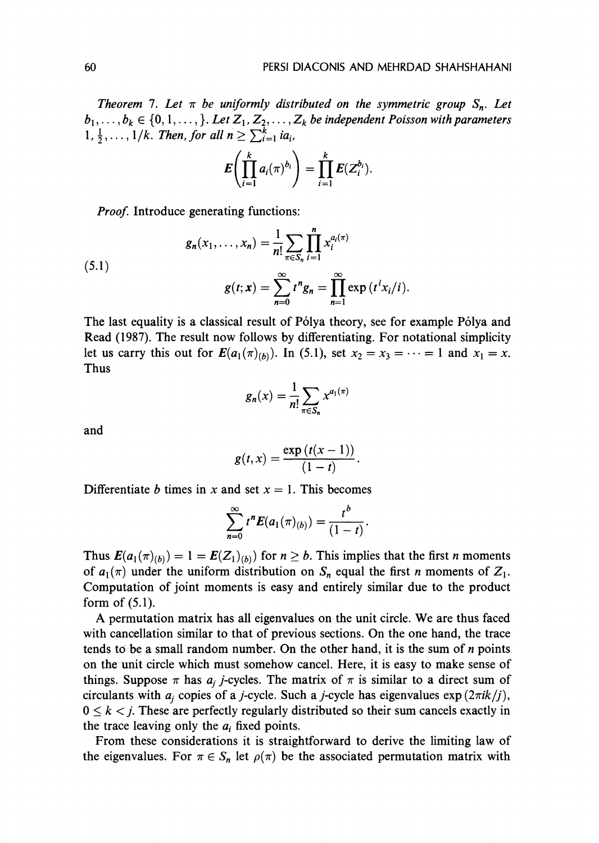*Theorem 7. Let*  $\pi$  *be uniformly distributed on the symmetric group*  $S_n$ *. Let*  $b_1, \ldots, b_k \in \{0, 1, \ldots, \}$ *. Let*  $Z_1, Z_2, \ldots, Z_k$  *be independent Poisson with parameters*  $1, \frac{1}{2}, \ldots, 1/k$ . Then, for all  $n \geq \sum_{i=1}^{k} i a_i$ ,

$$
E\left(\prod_{i=1}^k a_i(\pi)^{b_i}\right)=\prod_{i=1}^k E(Z_i^{b_i}).
$$

*Proof.* Introduce generating functions:

(5.1) 
$$
g_n(x_1,...,x_n) = \frac{1}{n!} \sum_{\pi \in S_n} \prod_{i=1}^n x_i^{a_i(\pi)}
$$

$$
g(t; \mathbf{x}) = \sum_{n=0}^{\infty} t^n g_n = \prod_{n=1}^{\infty} \exp(t^i x_i/i).
$$

The last equality is a classical result of Pólya theory, see for example Pólya and Read (1987). The result now follows by differentiating. For notational simplicity let us carry this out for  $E(a_1(\pi)_{(b)})$ . In (5.1), set  $x_2 = x_3 = \cdots = 1$  and  $x_1 = x$ . Thus

$$
g_n(x) = \frac{1}{n!} \sum_{\pi \in S_n} x^{a_1(\pi)}
$$

and

$$
g(t,x)=\frac{\exp(t(x-1))}{(1-t)}.
$$

Differentiate *b* times in *x* and set  $x = 1$ . This becomes

$$
\sum_{n=0}^{\infty} t^n E(a_1(\pi)_{(b)}) = \frac{t^b}{(1-t)}
$$

Thus  $E(a_1(\pi)_{(b)}) = 1 = E(Z_1)_{(b)}$  for  $n \ge b$ . This implies that the first *n* moments of  $a_1(\pi)$  under the uniform distribution on  $S_n$  equal the first *n* moments of  $Z_1$ . Computation of joint moments is easy and entirely similar due to the product form of (5.1).

**A** permutation matrix has all eigenvalues on the unit circle. We are thus faced with cancellation similar to that of previous sections. On the one hand, the trace tends to be a small random number. On the other hand, it is the sum of *n* points on the unit circle which must somehow cancel. Here, it is easy to make sense of things. Suppose  $\pi$  has  $a_i$  *j*-cycles. The matrix of  $\pi$  is similar to a direct sum of circulants with  $a_i$  copies of a *j*-cycle. Such a *j*-cycle has eigenvalues  $\exp(2\pi i k / j)$ ,  $0 \leq k \leq j$ . These are perfectly regularly distributed so their sum cancels exactly in the trace leaving only the  $a_i$  fixed points.

From these considerations it is straightforward to derive the limiting law of the eigenvalues. For  $\pi \in S_n$  let  $\rho(\pi)$  be the associated permutation matrix with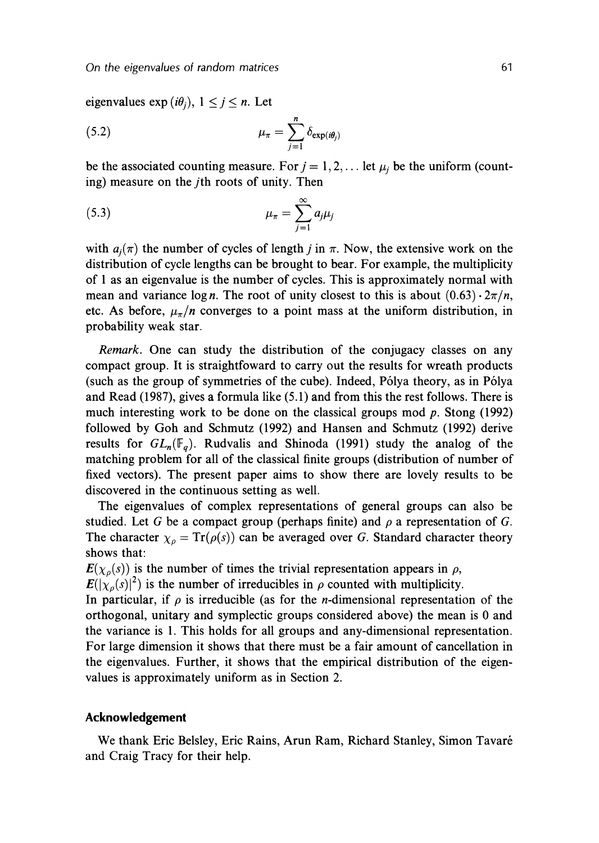eigenvalues  $\exp(i\theta_i)$ ,  $1 \leq j \leq n$ . Let

(5.2) 
$$
\mu_{\pi} = \sum_{j=1}^{n} \delta_{\exp(i\theta_j)}
$$

be the associated counting measure. For  $j = 1, 2, \ldots$  let  $\mu_j$  be the uniform (counting) measure on the jth roots of unity. Then

$$
\mu_{\pi} = \sum_{j=1}^{\infty} a_j \mu_j
$$

with  $a_i(\pi)$  the number of cycles of length j in  $\pi$ . Now, the extensive work on the distribution of cycle lengths can be brought to bear. For example, the multiplicity of 1 as an eigenvalue is the number of cycles. This is approximately normal with mean and variance logn. The root of unity closest to this is about  $(0.63) \cdot 2\pi/n$ , etc. As before,  $\mu_{\pi}/n$  converges to a point mass at the uniform distribution, in probability weak star.

Remark. One can study the distribution of the conjugacy classes on any compact group. It is straightfoward to carry out the results for wreath products (such as the group of symmetries of the cube). Indeed, Pólya theory, as in Pólya and Read (1987), gives a formula like (5.1) and from this the rest follows. There is much interesting work to be done on the classical groups mod  $p$ . Stong (1992) followed by Goh and Schmutz (1992) and Hansen and Schmutz (1992) derive results for  $GL_n(\mathbb{F}_q)$ . Rudvalis and Shinoda (1991) study the analog of the matching problem for all of the classical finite groups (distribution of number of fixed vectors). The present paper aims to show there are lovely results to be discovered in the continuous setting as well.

The eigenvalues of complex representations of general groups can also be studied. Let G be a compact group (perhaps finite) and  $\rho$  a representation of G. The character  $\chi_{\rho} = \text{Tr}(\rho(s))$  can be averaged over G. Standard character theory shows that:

 $E(\chi_{\rho}(s))$  is the number of times the trivial representation appears in  $\rho$ ,

 $E(|\chi_{\rho}(s)|^2)$  is the number of irreducibles in  $\rho$  counted with multiplicity.

In particular, if  $\rho$  is irreducible (as for the *n*-dimensional representation of the orthogonal, unitary and symplectic groups considered above) the mean is 0 and the variance is 1. This holds for all groups and any-dimensional representation. For large dimension it shows that there must be a fair amount of cancellation in the eigenvalues. Further, it shows that the empirical distribution of the eigenvalues is approximately uniform as in Section 2.

## **Acknowledgement**

We thank Eric Belsley, Eric Rains, Arun Ram, Richard Stanley, Simon Tavare and Craig Tracy for their help.